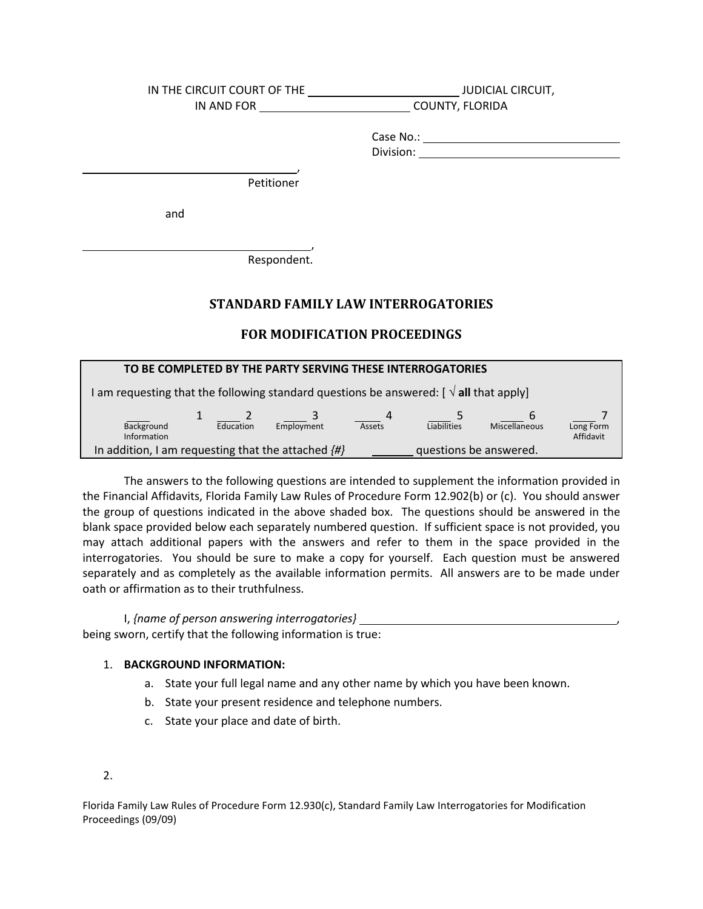| IN THE CIRCUIT COURT OF THE | <b>JUDICIAL CIRCUIT,</b> |  |  |
|-----------------------------|--------------------------|--|--|
| IN AND FOR                  | COUNTY, FLORIDA          |  |  |
|                             |                          |  |  |
|                             |                          |  |  |
|                             |                          |  |  |
|                             |                          |  |  |
| Petitioner                  |                          |  |  |
|                             |                          |  |  |
| and                         |                          |  |  |
|                             |                          |  |  |
|                             |                          |  |  |
| Respondent.                 |                          |  |  |
|                             |                          |  |  |
|                             |                          |  |  |

# **STANDARD FAMILY LAW INTERROGATORIES**

# **FOR MODIFICATION PROCEEDINGS**

| TO BE COMPLETED BY THE PARTY SERVING THESE INTERROGATORIES                                      |           |            |        |                        |               |                        |
|-------------------------------------------------------------------------------------------------|-----------|------------|--------|------------------------|---------------|------------------------|
| I am requesting that the following standard questions be answered: [ $\sqrt{ }$ all that apply] |           |            |        |                        |               |                        |
|                                                                                                 |           |            | 4      |                        | 6             |                        |
| Background<br>Information                                                                       | Education | Employment | Assets | Liabilities            | Miscellaneous | Long Form<br>Affidavit |
| In addition, I am requesting that the attached $\{H\}$                                          |           |            |        | questions be answered. |               |                        |

The answers to the following questions are intended to supplement the information provided in (c). You should answer the group of questions indicated in the above shaded box. The questions should be answered in the may attach additional papers with the answers and refer to them in the space provided in the may attach additional papers with the answers and refer to them in the space provided in the<br>interrogatories. You should be sure to make a copy for yourself. Each question must be answered separately and as completely as the available information permits. All answers are to be made under The answers to the following questions are intended to supplement the information provided in<br>the Financial Affidavits, Florida Family Law Rules of Procedure Form 12.902(b) or (c). You should answer<br>the group of questions blank space provided below each separately numbered question. If sufficient space is not provided, you oath or affirmation as to their truthfulness.

 I, *{name of person answering interrogatories}*  being sworn, certify that the following information is true:

### 1. **BACKGROUND INFORMATION:**

a. State your full legal name and any other name by which you have been known.<br>b. State your present residence and telephone numbers.

,

- 
- c. State your place and date of birth.<br>2.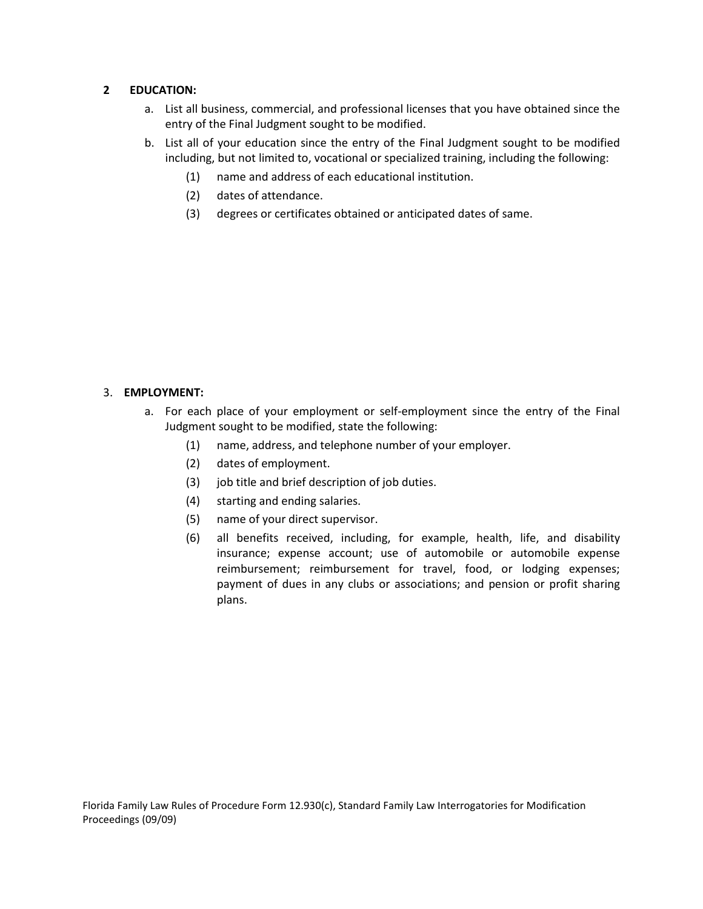## **2 EDUCATION:**

- a. List all business, commercial, and professional licenses that you have obtained since the entry of the Final Judgment sought to be modified.
- b. List all of your education since the entry of the Final Judgment sought to be modified including, but not limited to, vocational or specialized training, including the following:
	- (1) name and address of each educational institution.
	- (2) dates of attendance.
	- (3) degrees or certificates obtained or anticipated dates of same.

## 3. **EMPLOYMENT:**

- a. For each place of your employment or self-employment since the entry of the Final Judgment sought to be modified, state the following:
	- (1) name, address, and telephone number of your employer.
	- (2) dates of employment.
	- (3) job title and brief description of job duties.
	- (4) starting and ending salaries.
	- (5) name of your direct supervisor.
	- insurance; expense account; use of automobile or automobile expense reimbursement; reimbursement for travel, food, or lodging expenses; reimbursement; reimbursement for travel, food, or lodging expenses;<br>payment of dues in any clubs or associations; and pension or profit sharing plans. (6) all benefits received, including, for example, health, life, and disability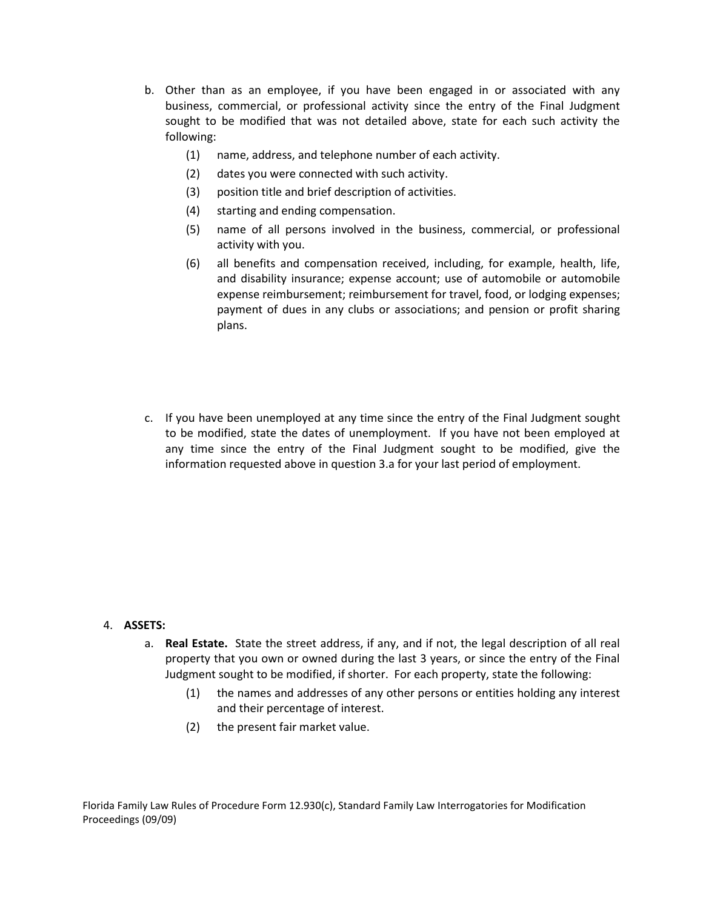- b. Other than as an employee, if you have been engaged in or associated with any b. Other than as an employee, if you have been engaged in or associated with any business, commercial, or professional activity since the entry of the Final Judgment sought to be modified that was not detailed above, state for each such activity the<br>following:
	- (1) name, address, and telephone number of each activity.
	- (2) dates you were connected with such activity.
	- (3) position title and brief description of activities.
	- (4) starting and ending compensation.
	- activity with you. (5) name of all persons involved in the business, commercial, or professional
	- and disability insurance; expense account; use of automobile or automobile payment of dues in any clubs or associations; and pension or profit sharing plans. (6) all benefits and compensation received, including, for example, health, life, expense reimbursement; reimbursement for travel, food, or lodging expenses;
- to be modified, state the dates of unemployment. If you have not been employed at any time since the entry of the Final Judgment sought to be modified, give the plans.<br>
c. If you have been unemployed at any time since the entry of the Final Judgment sought information requested above in question 3.a for your last period of employment.

### 4. **ASSETS:**

- a. **Real Estate.** State the street address, if any, and if not, the legal description of all real property that you own or owned during the last 3 years, or since the entry of the Final property that you own or owned during the last 3 years, or since the entry of the Final Judgment sought to be modified, if shorter. For each property, state the following:
	- (1) the names and addresses of any other persons or entities holding any interest and their percentage of interest.
	- (2) the present fair market value.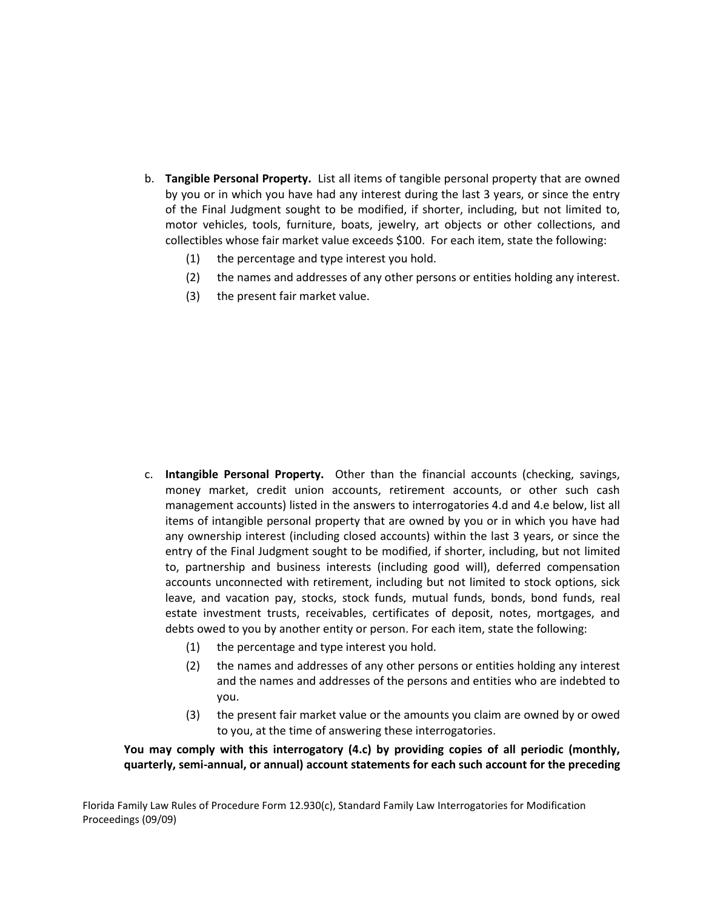- b. **Tangible Personal Property.**  List all items of tangible personal property that are owned by you or in which you have had any interest during the last 3 years, or since the entry motor vehicles, tools, furniture, boats, jewelry, art objects or other collections, and of the Final Judgment sought to be modified, if shorter, including, but not limited to, collectibles whose fair market value exceeds \$100. For each item, state the following:
	- (1) the percentage and type interest you hold.
	- (2) the names and addresses of any other persons or entities holding any interest.
	- (3) the present fair market value.

- c. **Intangible Personal Property.**  Other than the financial accounts (checking, savings, management accounts) listed in the answers to interrogatories 4.d and 4.e below, list all items of intangible personal property that are owned by you or in which you have had items of intangible personal property that are owned by you or in which you have had<br>any ownership interest (including closed accounts) within the last 3 years, or since the entry of the Final Judgment sought to be modified, if shorter, including, but not limited to, partnership and business interests (including good will), deferred compensation accounts unconnected with retirement, including but not limited to stock options, sick leave, and vacation pay, stocks, stock funds, mutual funds, bonds, bond funds, real money market, credit union accounts, retirement accounts, or other such cash estate investment trusts, receivables, certificates of deposit, notes, mortgages, and debts owed to you by another entity or person. For each item, state the following:
	- (1) the percentage and type interest you hold.
	- the names and addresses of any other persons or entities holding any interest (2) the names and addresses of any other persons or entities holding any interest and the names and addresses of the persons and entities who are indebted to you.
	- to you, at the time of answering these interrogatories. (3) the present fair market value or the amounts you claim are owned by or owed

You may comply with this interrogatory (4.c) by providing copies of all periodic (monthly, quarterly, semi-annual, or annual) account statements for each such account for the preceding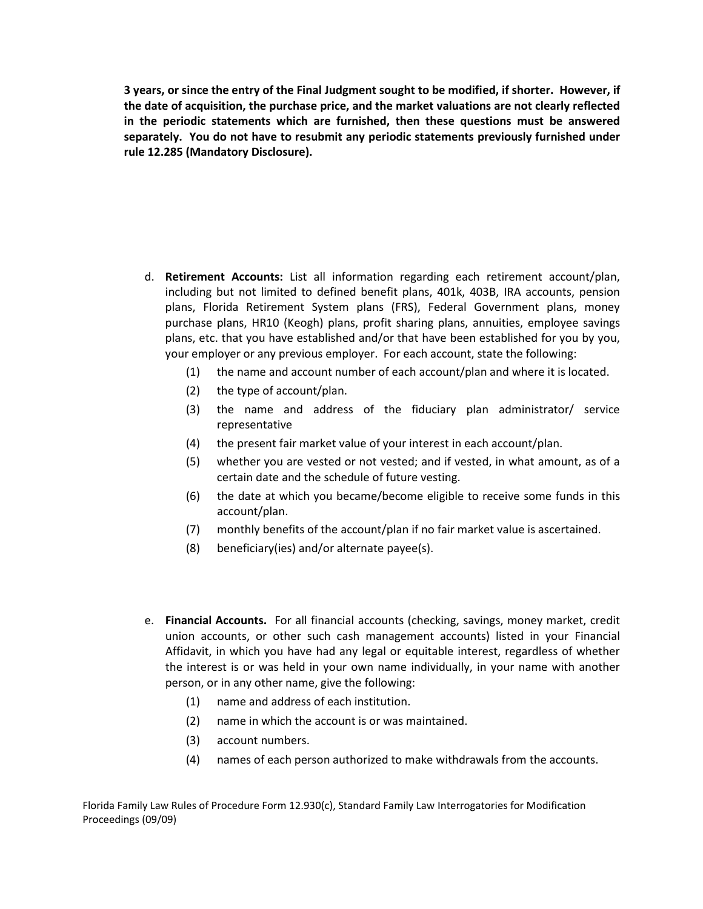**3 years, or since the entry of the Final Judgment sought to be modified, if shorter. However, if the date of acquisition, the purchase price, and the market valuations are not clearly reflected**  in the periodic statements which are furnished, then these questions must be answered in the periodic statements which are furnished, then these questions must be answered<br>separately. You do not have to resubmit any periodic statements previously furnished under **rule 12.285 (Mandatory Disclosure).** 

- d. **Retirement Accounts:**  List all information regarding each retirement account/plan, including but not limited to defined benefit plans, 401k, 403B, IRA accounts, pension plans, Florida Retirement System plans (FRS), Federal Government plans, money<br>purchase plans, HR10 (Keogh) plans, profit sharing plans, annuities, employee savings<br>plans, etc. that you have established and/or that have bee purchase plans, HR10 (Keogh) plans, profit sharing plans, annuities, employee savings plans, etc. that you have established and/or that have been established for you by you, your employer or any previous employer. For each account, state the following:
	- (1) the name and account number of each account/plan and where it is located.
	- (2) the type of account/plan.
	- (3) the name and address of the fiduciary plan administrator/ service representative
	- (4) the present fair market value of your interest in each account/plan.
	- (5) whether you are vested or not vested; and if vested, in what amount, as of a certain date and the schedule of future vesting.
	- (6) the date at which you became/become eligible to receive some funds in this account/plan.
	- (7) monthly benefits of the account/plan if no fair market value is ascertained.
	- (8) beneficiary(ies) and/or alternate payee(s).
- e. **Financial Accounts.**  For all financial accounts (checking, savings, money market, credit union accounts, or other such cash management accounts) listed in your Financial Affidavit, in which you have had any legal or equitable interest, regardless of whether<br>the interest is or was held in your own name individually, in your name with another the interest is or was held in your own name individually, in your name with another person, or in any other name, give the following:
	- (1) name and address of each institution.
	- (2) name in which the account is or was maintained.
	- (3) account numbers.
	- (4) names of each person authorized to make withdrawals from the accounts.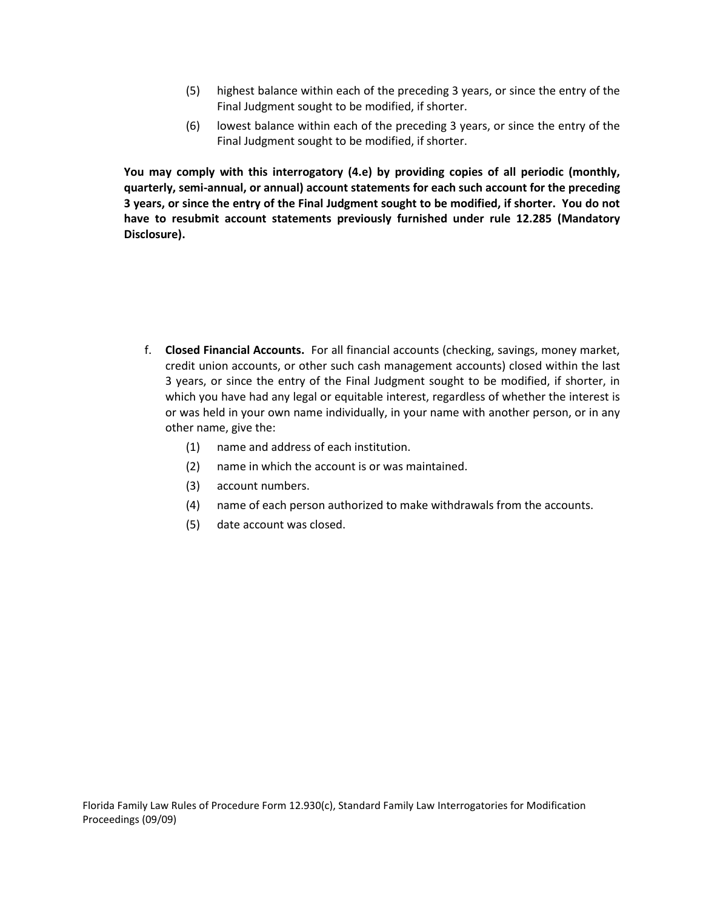- (5) highest balance within each of the preceding 3 years, or since the entry of the Final Judgment sought to be modified, if shorter.
- (6) lowest balance within each of the preceding 3 years, or since the entry of the Final Judgment sought to be modified, if shorter.

You may comply with this interrogatory (4.e) by providing copies of all periodic (monthly, 3 years, or since the entry of the Final Judgment sought to be modified, if shorter. You do not 3 years, or since the entry of the Final Judgment sought to be modified, if shorter. You do not<br>have to resubmit account statements previously furnished under rule 12.285 (Mandatory quarterly, semi-annual, or annual) account statements for each such account for the preceding **Disclosure).** 

- f. Closed Financial Accounts. For all financial accounts (checking, savings, money market, f. **Closed Financial Accounts.**  For all financial accounts (checking, savings, money market, credit union accounts, or other such cash management accounts) closed within the last which you have had any legal or equitable interest, regardless of whether the interest is or was held in your own name individually, in your name with another person, or in any<br>other name, give the: 3 years, or since the entry of the Final Judgment sought to be modified, if shorter, in
	- (1) name and address of each institution.
	- (2) name in which the account is or was maintained.
	- (3) account numbers.
	- (4) name of each person authorized to make withdrawals from the accounts.
	- (5) date account was closed.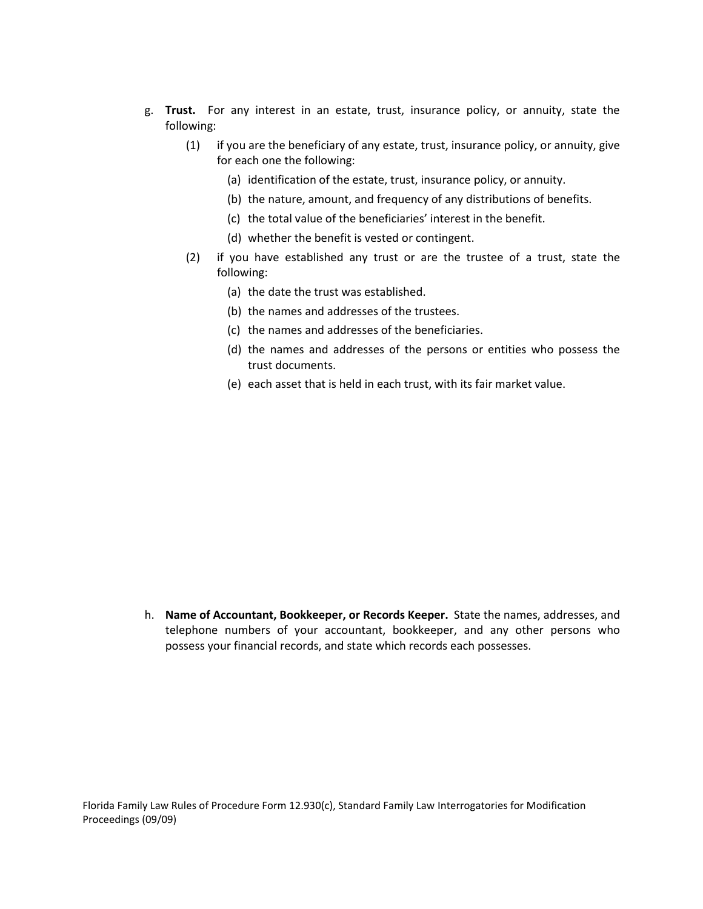- g. **Trust.**  For any interest in an estate, trust, insurance policy, or annuity, state the following:
	- (1) if you are the beneficiary of any estate, trust, insurance policy, or annuity, give for each one the following:
		- (a) identification of the estate, trust, insurance policy, or annuity.
		- (b) the nature, amount, and frequency of any distributions of benefits.
		- (c) the total value of the beneficiaries' interest in the benefit.
		- (d) whether the benefit is vested or contingent.
	- (2) if you have established any trust or are the trustee of a trust, state the following:
		- (a) the date the trust was established.
		- (b) the names and addresses of the trustees.
		- (c) the names and addresses of the beneficiaries.
		- (d) the names and addresses of the persons or entities who possess the trust documents.
		- (e) each asset that is held in each trust, with its fair market value.
- h. Name of Accountant, Bookkeeper, or Records Keeper. State the names, addresses, and telephone numbers of your accountant, bookkeeper, and any other persons who (e) each asset that is held in each trust, with its fair market value.<br>**h. <b>Name of Accountant, Bookkeeper, or Records Keeper.** State the names, addresses, and possess your financial records, and state which records each possesses.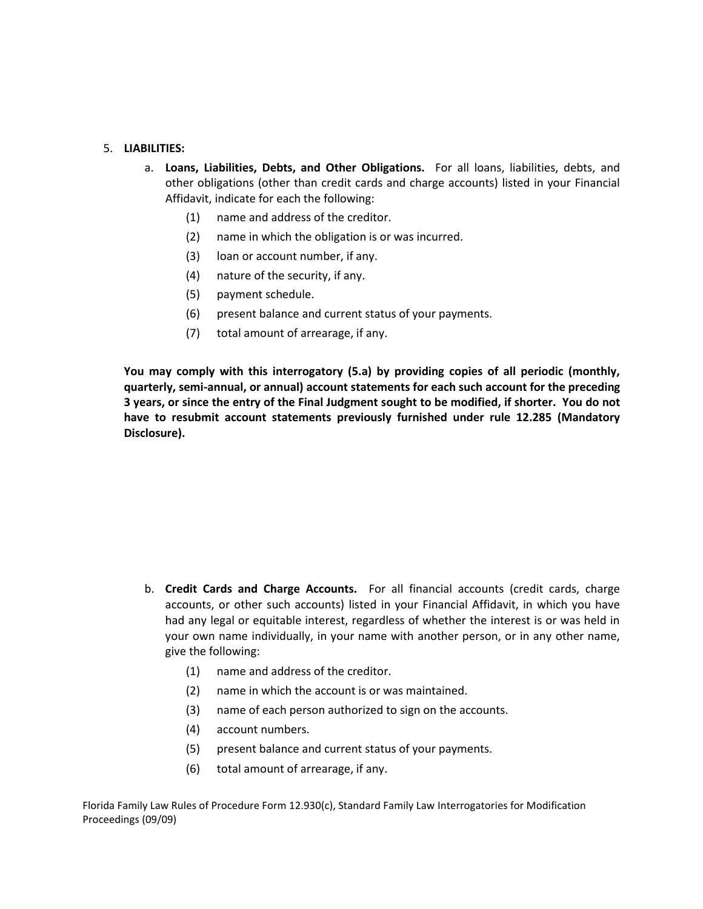#### 5. **LIABILITIES:**

- a. **Loans, Liabilities, Debts, and Other Obligations.** For all loans, liabilities, debts, and other obligations (other than credit cards and charge accounts) listed in your Financial other obligations (other than credit cards and charge accounts) listed in your Financial Affidavit, indicate for each the following:
	- (1) name and address of the creditor.
	- (2) name in which the obligation is or was incurred.
	-
	- (3) loan or account number, if any.<br>(4) nature of the security, if any.
	- (5) payment schedule.
	- (6) present balance and current status of your payments.
	- (7) total amount of arrearage, if any.

You may comply with this interrogatory (5.a) by providing copies of all periodic (monthly,  **3 years, or since the entry of the Final Judgment sought to be modified, if shorter. You do not have to resubmit account statements previously furnished under rule 12.285 (Mandatory**  quarterly, semi-annual, or annual) account statements for each such account for the preceding **Disclosure).** 

- b. Credit Cards and Charge Accounts. For all financial accounts (credit cards, charge or other such accounts) listed in your Financial Affidavit, in which you have had any legal or equitable interest, regardless of whether the interest is or was held in your own name individually, in your name with another person, or in any other name, b. **Credit Cards and Charge Accounts.** For all financial accounts (credit cards, charge accounts, or other such accounts) listed in your Financial Affidavit, in which you have had any legal or equitable interest, regardles give the following:
	- (1) name and address of the creditor.
	- (2) name in which the account is or was maintained.
	- (3) name of each person authorized to sign on the accounts.
	- (4) account numbers.
	- (5) present balance and current status of your payments.
	- total amount of arrearage, if any.

(6) total amount of arrearage, if any.<br>Florida Family Law Rules of Procedure Form 12.930(c), Standard Family Law Interrogatories for Modification Proceedings (09/09)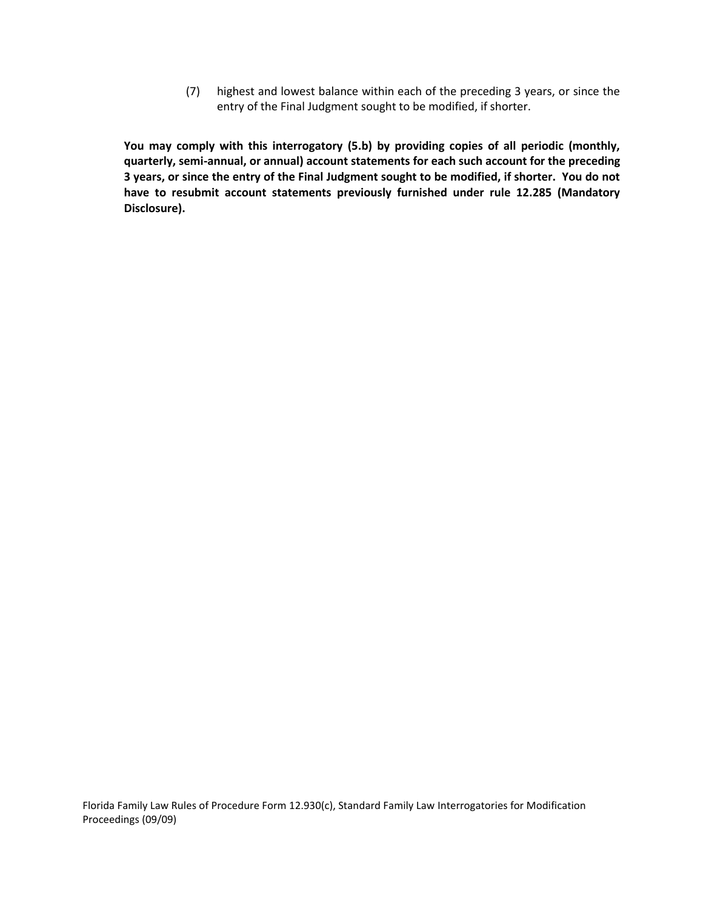(7) highest and lowest balance within each of the preceding 3 years, or since the entry of the Final Judgment sought to be modified, if shorter.

You may comply with this interrogatory (5.b) by providing copies of all periodic (monthly, 3 years, or since the entry of the Final Judgment sought to be modified, if shorter. You do not 3 years, or since the entry of the Final Judgment sought to be modified, if shorter. You do not<br>have to resubmit account statements previously furnished under rule 12.285 (Mandatory quarterly, semi-annual, or annual) account statements for each such account for the preceding **Disclosure).**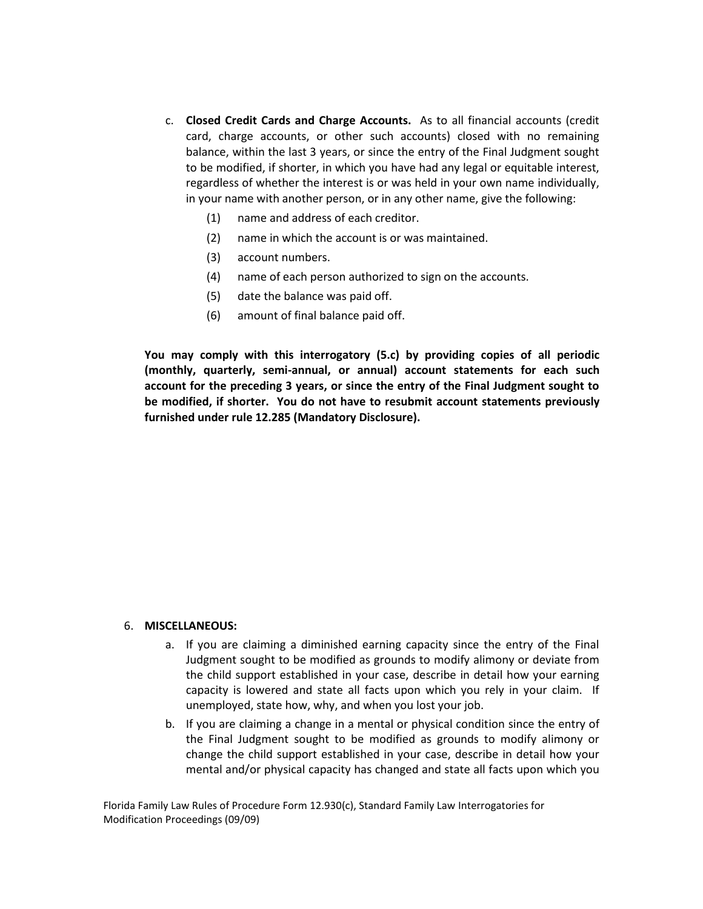- c. Closed Credit Cards and Charge Accounts. As to all financial accounts (credit card, charge accounts, or other such accounts) closed with no remaining c. **Closed Credit Cards and Charge Accounts.** As to all financial accounts (credit card, charge accounts, or other such accounts) closed with no remaining balance, within the last 3 years, or since the entry of the Final J to be modified, if shorter, in which you have had any legal or equitable interest, regardless of whether the interest is or was held in your own name individually, in your name with another person, or in any other name, give the following:
	- (1) name and address of each creditor.
	- (2) name in which the account is or was maintained.
	- (3) account numbers.
	- (4) name of each person authorized to sign on the accounts.
	- (5) date the balance was paid off.
	- $(6)$  amount of final balance paid off.

 **You may comply with this interrogatory (5.c) by providing copies of all periodic (monthly, quarterly, semi‐annual, or annual) account statements for each such account for the preceding 3 years, or since the entry of the Final Judgment sought to be modified, if shorter. You do not have to resubmit account statements previously furnished under rule 12.285 (Mandatory Disclosure).** 

#### 6. **MISCELLANEOUS:**

- a. If you are claiming a diminished earning capacity since the entry of the Final Judgment sought to be modified as grounds to modify alimony or deviate from the child support established in your case, describe in detail how your earning capacity is lowered and state all facts upon which you rely in your claim. If<br>unemployed, state how, why, and when you lost your job.
- b. If you are claiming a change in a mental or physical condition since the entry of the Final Judgment sought to be modified as grounds to modify alimony or change the child support established in your case, describe in detail how your state all facts upon which you the Final Judgment sought to be modified as grounds to modify alimony or<br>change the child support established in your case, describe in detail how your<br>mental and/or physical capacity has changed and state all facts upon w

Modification Proceedings (09/09)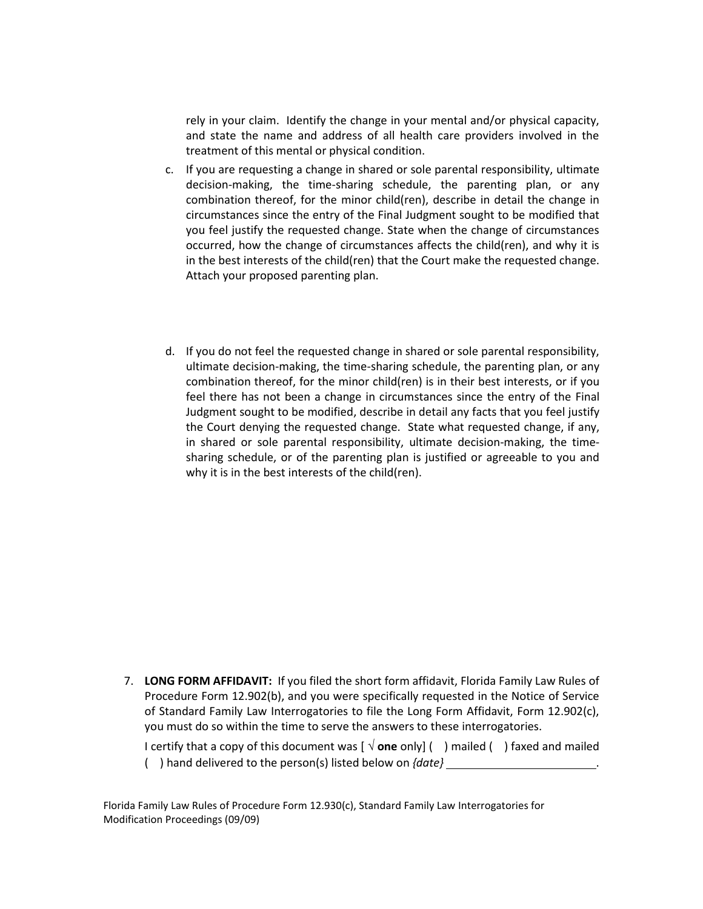rely in your claim. Identify the change in your mental and/or physical capacity, rely in your claim. Identify the change in your mental and/or physical capacity,<br>and state the name and address of all health care providers involved in the treatment of this mental or physical condition.

- c. If you are requesting a change in shared or sole parental responsibility, ultimate decision‐making, the time‐sharing schedule, the parenting plan, or any combination thereof, for the minor child(ren), describe in detail the change in you feel justify the requested change. State when the change of circumstances occurred, how the change of circumstances affects the child(ren), and why it is Attach your proposed parenting plan. circumstances since the entry of the Final Judgment sought to be modified that in the best interests of the child(ren) that the Court make the requested change.
- Attach your proposed parenting plan.<br>d. If you do not feel the requested change in shared or sole parental responsibility, ultimate decision‐making, the time‐sharing schedule, the parenting plan, or any combination thereof, for the minor child(ren) is in their best interests, or if you feel there has not been a change in circumstances since the entry of the Final Judgment sought to be modified, describe in detail any facts that you feel justify the Court denying the requested change. State what requested change, if any, sharing schedule, or of the parenting plan is justified or agreeable to you and why it is in the best interests of the child(ren). in shared or sole parental responsibility, ultimate decision-making, the time-

 7. **LONG FORM AFFIDAVIT:**  If you filed the short form affidavit, Florida Family Law Rules of Procedure Form 12.902(b), and you were specifically requested in the Notice of Service of Standard Family Law Interrogatories to file the Long Form Affidavit, Form 12.902(c),<br>you must do so within the time to serve the answers to these interrogatories. you must do so within the time to serve the answers to these interrogatories.

 I certify that a copy of this document was [ **one** only] ( ) mailed ( ) faxed and mailed ( ) hand delivered to the person(s) listed below on *{date}*  . () hand delivered to the person(s) listed below on  $\{date\}$